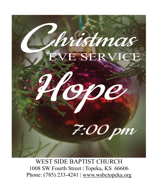

WEST SIDE BAPTIST CHURCH 1008 SW Fourth Street | Topeka, KS 66606 Phone: (785) 233-4241 | [www.wsbctopeka.org](http://www.wsbctopeka.org/)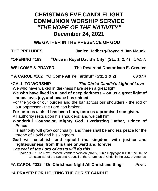# **CHRISTMAS EVE CANDLELIGHT COMMUNION WORSHIP SERVICE** *"THE HOPE OF THE NATIVITY"* **December 24, 2021**

# **WE GATHER IN THE PRESENCE OF GOD**

**THE PRELUDES Janice Hedberg-Boyce & Jan Mauck**

**\*OPENING #183 "Once in Royal David's City" (Stz. 1, 2, 4)** *ORGAN*

**WELCOME & PRAYER The Reverend Doctor Ivan E. Greuter**

**\* A CAROL #182 "O Come All Ye Faithful" (Stz. 1 & 2)** *ORGAN*

#### **\*CALL TO WORSHIP** *The Christ Candle's Light of Love*

We who have walked in darkness have seen a great light!

**We who have lived in a land of deep darkness – on us a great light of hope, love, joy, and peace has shined!**

For the yoke of our burden and the bar across our shoulders - the rod of our oppressor - the Lord has broken!

**For unto us a child has been born, unto us a promised son given.**

All authority rests upon his shoulders; and we call him:

**Wonderful Counselor, Mighty God, Everlasting Father, Prince of Peace!**

His authority will grow continually, and there shall be endless peace for the throne of David and his kingdom.

**God will establish and uphold the kingdom with justice and righteousness, from this time onward and forever.** 

*The zeal of the Lord of hosts will do this!* 

Isaiah 9:2-7 The New Revised Standard Version (NRSV) Bible Copyright © 1989 the Div. of Christian Ed. of the National Council of the Churches of Christ in the U.S. of America.

# **\*A CAROL #222 "On Christmas Night All Christians Sing"** *PIANO*

### **\*A PRAYER FOR LIGHTING THE CHRIST CANDLE**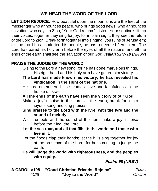# **WE HEAR THE WORD OF THE LORD**

**LET ZION REJOICE:** How beautiful upon the mountains are the feet of the messenger who announces peace, who brings good news, who announces salvation, who says to Zion, "Your God reigns." Listen! Your sentinels lift up their voices, together they sing for joy; for in plain sight, they see the return of the Lord to Zion. Break forth together into singing, you ruins of Jerusalem; for the Lord has comforted his people, he has redeemed Jerusalem. The Lord has bared his holy arm before the eyes of all the nations; and all the ends of the earth shall see the salvation of our God. *Isaiah 52:7-10 (NRSV)*

#### **PRAISE THE JUDGE OF THE WORLD**

O sing to the Lord a new song, for he has done marvelous things. His right hand and his holy arm have gotten him victory.

- **The Lord has made known his victory; he has revealed his vindication in the sight of the nations.**
- He has remembered his steadfast love and faithfulness to the house of Israel.
- **All the ends of the earth have seen the victory of our God.**
- Make a joyful noise to the Lord, all the earth; break forth into joyous song and sing praises.
- **Sing praises to the Lord with the lyre, with the lyre and the sound of melody.**
- With trumpets and the sound of the horn make a joyful noise before the King, the Lord.
- **Let the sea roar, and all that fills it; the world and those who live in it.**
- Let the floods clap their hands; let the hills sing together for joy at the presence of the Lord, for he is coming to judge the earth.
- **He will judge the world with righteousness, and the peoples with equity.**

*Psalm 98 (NRSV)*

**A CAROL #198 "Good Christian Friends, Rejoice"** *PIANO*  **#179 "Joy to the World"** *ORGAN*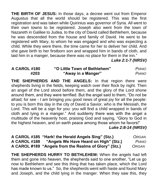**THE BIRTH OF JESUS:** In those days, a decree went out from Emperor Augustus that all the world should be registered. This was the first registration and was taken while Quirinius was governor of Syria. All went to their own towns to be registered. Joseph also went from the town of Nazareth in Galilee to Judea, to the city of David called Bethlehem, because he was descended from the house and family of David. He went to be registered with Mary, to whom he was engaged and who was expecting a child. While they were there, the time came for her to deliver her child. And she gave birth to her firstborn son and wrapped him in bands of cloth, and laid him in a manger, because there was no place for them in the inn."

*Luke 2:1-7 (NRSV)*

| A CAROL #180 | "O Little Town of Bethlehem" | <b>PIANO</b> |
|--------------|------------------------------|--------------|
| #203         | "Away in a Manger"           | <b>PIANO</b> |

**THE SHEPHERDS AND THE ANGELS:** In that region there were shepherds living in the fields, keeping watch over their flock by night. Then an angel of the Lord stood before them, and the glory of the Lord shone around them, and they were terrified. But the angel said to them, "Do not be afraid; for see - I am bringing you good news of great joy for all the people: to you is born this day in the city of David a Savior, who is the Messiah, the Lord. This will be a sign for you: you will find a child wrapped in bands of cloth and lying in a manger." And suddenly there was with the angel a multitude of the heavenly host, praising God and saying, "Glory to God in the highest heaven, and on earth peace among those whom he favors!"

*Luke 2:8-14 (NRSV)*

**A CAROL #185 "Hark! the Herald Angels Sing" (Stz.)** *ORGAN* **A CAROL #188 "Angels We Have Heard on High" (Stz.)** *PIANO* **A CAROL #189 "Angels from the Realms of Glory" (Stz.)** *ORGAN*

**THE SHEPHERDS HURRY TO BETHLEHEM:** When the angels had left them and gone into heaven, the shepherds said to one another, "Let us go now to Bethlehem and see this thing that has taken place, which the Lord has made known to us." So, the shepherds went with haste and found Mary and Joseph, and the child lying in the manger. When they saw this, they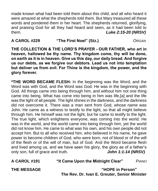made known what had been told them about this child; and all who heard it were amazed at what the shepherds told them. But Mary treasured all these words and pondered them in her heart. The shepherds returned, glorifying, and praising God for all they had heard and seen, as it had been told to them. *Luke 2:15-20 (NRSV)*

#### **A CAROL #229 "The First Noel" (Stz.)** *ORGAN*

**THE COLLECTION & THE LORD'S PRAYER - OUR FATHER, who art in heaven, hallowed be thy name. Thy kingdom come, thy will be done, on earth as it is in heaven. Give us this day, our daily bread. And forgive us our debts, as we forgive our debtors. Lead us not into temptation but deliver us from evil. For Thine is the kingdom, the power, and the glory forever.**

**\*THE WORD BECAME FLESH:** In the beginning was the Word, and the Word was with God, and the Word was God. He was in the beginning with God. All things came into being through him, and without him not one thing came into being. What has come into being in him was life,[a] and the life was the light of all people. The light shines in the darkness, and the darkness did not overcome it. There was a man sent from God, whose name was John. He came as a witness to testify to the light, so that all might believe through him. He himself was not the light, but he came to testify to the light. The true light, which enlightens everyone, was coming into the world. He was in the world, and the world came into being through him; yet the world did not know him. He came to what was his own, and his own people did not accept him. But to all who received him, who believed in his name, he gave power to become children of God, who were born, not of blood or of the will of the flesh or of the will of man, but of God. And the Word became flesh and lived among us, and we have seen his glory, the glory as of a father's only son, full of grace and truth. *John 1:1-14 (NRSV)*

**A CAROL #191 "It Came Upon the Midnight Clear"** *PIANO*

**THE MESSAGE "HOPE in Person" The Rev. Dr. Ivan E. Greuter, Senior Minister**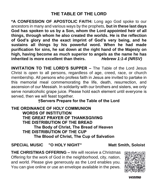**\*A CONFESSION OF APOSTOLIC FAITH:** Long ago God spoke to our ancestors in many and various ways by the prophets, **but in these last days God has spoken to us by a Son, whom the Lord appointed heir of all things, through whom he also created the worlds. He is the reflection of God's glory and the exact imprint of God's very being, and he sustains all things by his powerful word. When he had made purification for sins, he sat down at the right hand of the Majesty on high, having become as much superior to angels as the name he has inherited is more excellent than theirs.** *Hebrew 1:1-4 (NRSV)*

**INVITATION TO THE LORD'S SUPPER –** The Table of the Lord Jesus Christ is *open* to all persons, regardless of age, creed, race, or church membership. All persons who profess faith in Jesus are invited to partake in this memorial meal commemorating the life, death, resurrection, and ascension of our Messiah. In solidarity with our brothers and sisters, we only serve nonalcoholic grape juice. Please hold each element until everyone is served, then we will feast together.

#### **†Servers Prepare for the Table of the Lord**

**THE ORDINANCE OF HOLY COMMUNION WORDS OF INSTITUTION THE GREAT PRAYER OF THANKSGIVING THE DISTRIBUTION OF THE BREAD The Body of Christ, The Bread of Heaven THE DISTRIBUTION OF THE CUP The Blood of Christ, The Cup of Salvation**

### **SPECIAL MUSIC "O HOLY NIGHT" Matt Smith, Soloist**

**THE CHRISTMAS OFFERING –** We will receive a Christmas Offering for the work of God in the neighborhood, city, nation, and world. Please give generously as the Lord enables you. You can give online or use an envelope available in the pews.



venmo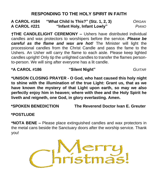# **RESPONDING TO THE HOLY SPIRIT IN FAITH**

**A CAROL #184 "What Child Is This?" (Stz. 1, 2, 3)** *ORGAN* **A CAROL #221 "Infant Holy, Infant Lowly"** *PIANO*

**†THE CANDLELIGHT CEREMONY –** Ushers have distributed individual candles and wax protectors to worshipers before the service. *Please be careful as the flame and wax are hot!* The Minister will light the processional candles from the Christ Candle and pass the fame to the Ushers. An Usher will carry the flame to each aisle. Please keep lighted candles upright! Only tip the unlighted candles to transfer the flames personto-person. We will sing after everyone has a lit candle.

#### **\*A CAROL #186 "Silent Night"** *GUITAR*

**\*UNISON CLOSING PRAYER - O God, who hast caused this holy night to shine with the illumination of the true Light: Grant us, that as we have known the mystery of that Light upon earth, so may we also perfectly enjoy him in heaven; where with thee and the Holy Spirit he liveth and reigneth, one God, in glory everlasting. Amen.**

**\*SPOKEN BENEDICTION The Reverend Doctor Ivan E. Greuter**

**\*POSTLUDE** 

**\*NOTA BENE –** Please place extinguished candles and wax protectors in the metal cans beside the Sanctuary doors after the worship service. Thank you!